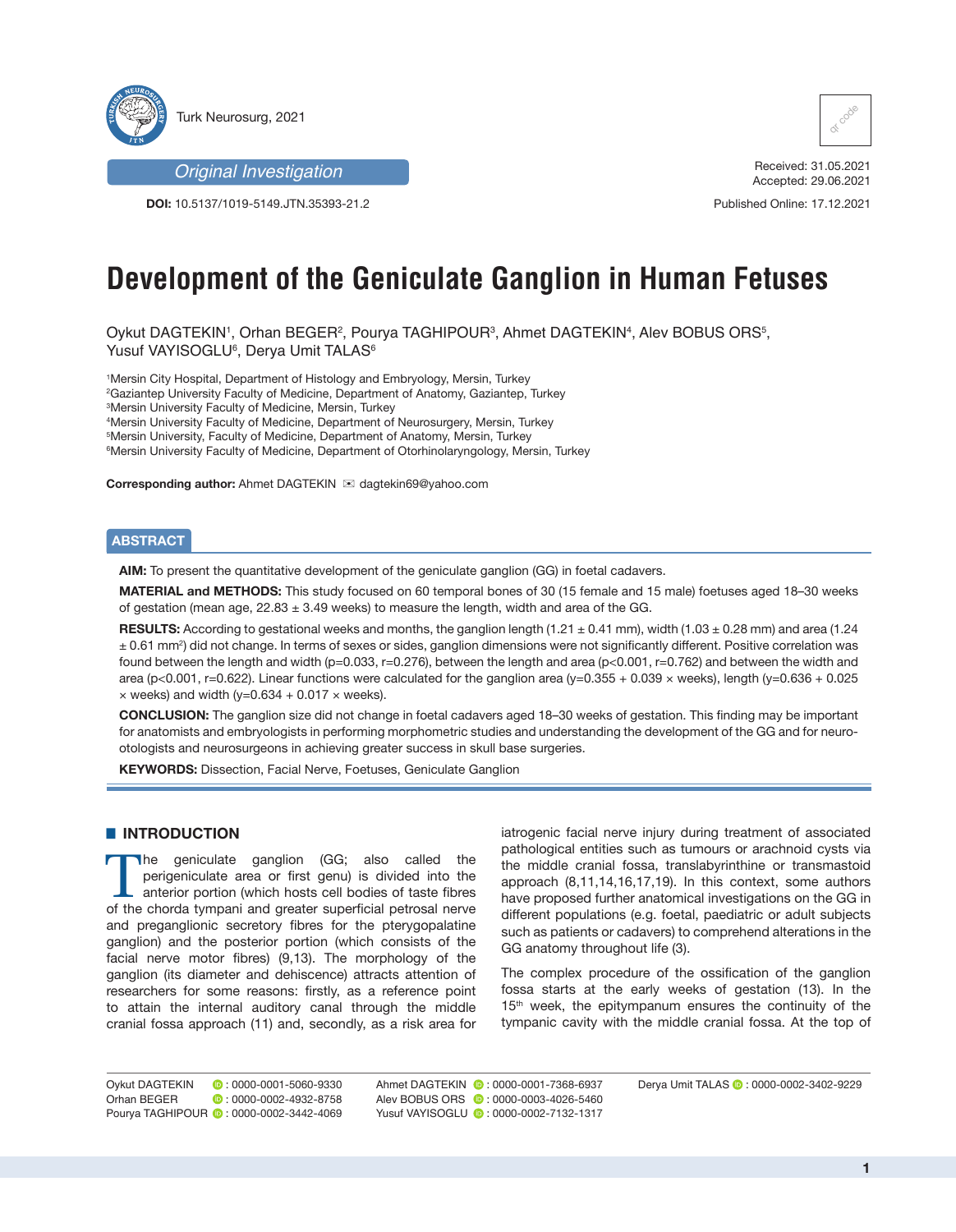

*Original Investigation*

**DOI:** 10.5137/1019-5149.JTN.35393-21.2



Received: 31.05.2021 Accepted: 29.06.2021

Published Online: 17.12.2021

# **Development of the Geniculate Ganglion in Human Fetuses**

Oykut DAGTEKIN', Orhan BEGER<sup>2</sup>, Pourya TAGHIPOUR<sup>3</sup>, Ahmet DAGTEKIN<sup>4</sup>, Alev BOBUS ORS<sup>5</sup>, Yusuf VAYISOGLU<sup>6</sup>, Derya Umit TALAS<sup>6</sup>

 Mersin City Hospital, Department of Histology and Embryology, Mersin, Turkey Gaziantep University Faculty of Medicine, Department of Anatomy, Gaziantep, Turkey Mersin University Faculty of Medicine, Mersin, Turkey Mersin University Faculty of Medicine, Department of Neurosurgery, Mersin, Turkey Mersin University, Faculty of Medicine, Department of Anatomy, Mersin, Turkey Mersin University Faculty of Medicine, Department of Otorhinolaryngology, Mersin, Turkey

**Corresponding author:** Ahmet DAGTEKIN  $\mathbb{E}$  dagtekin69@yahoo.com

### **ABSTRACT**

**AIM:** To present the quantitative development of the geniculate ganglion (GG) in foetal cadavers.

**MATERIAL and METHODS:** This study focused on 60 temporal bones of 30 (15 female and 15 male) foetuses aged 18–30 weeks of gestation (mean age,  $22.83 \pm 3.49$  weeks) to measure the length, width and area of the GG.

**RESULTS:** According to gestational weeks and months, the ganglion length (1.21 ± 0.41 mm), width (1.03 ± 0.28 mm) and area (1.24 ± 0.61 mm2 ) did not change. In terms of sexes or sides, ganglion dimensions were not significantly different. Positive correlation was found between the length and width (p=0.033, r=0.276), between the length and area (p<0.001, r=0.762) and between the width and area (p<0.001, r=0.622). Linear functions were calculated for the ganglion area (y=0.355 + 0.039 × weeks), length (y=0.636 + 0.025  $\times$  weeks) and width (y=0.634 + 0.017  $\times$  weeks).

**CONCLUSION:** The ganglion size did not change in foetal cadavers aged 18–30 weeks of gestation. This finding may be important for anatomists and embryologists in performing morphometric studies and understanding the development of the GG and for neurootologists and neurosurgeons in achieving greater success in skull base surgeries.

**KEYWORDS:** Dissection, Facial Nerve, Foetuses, Geniculate Ganglion

#### **E** INTRODUCTION

The geniculate ganglion (GG; also called the perigeniculate area or first genu) is divided into the anterior portion (which hosts cell bodies of taste fibres of the chorda tympani and greater superficial petrosal nerve and preganglionic secretory fibres for the pterygopalatine ganglion) and the posterior portion (which consists of the facial nerve motor fibres) (9,13). The morphology of the ganglion (its diameter and dehiscence) attracts attention of researchers for some reasons: firstly, as a reference point to attain the internal auditory canal through the middle cranial fossa approach (11) and, secondly, as a risk area for

iatrogenic facial nerve injury during treatment of associated pathological entities such as tumours or arachnoid cysts via the middle cranial fossa, translabyrinthine or transmastoid approach (8,11,14,16,17,19). In this context, some authors have proposed further anatomical investigations on the GG in different populations (e.g. foetal, paediatric or adult subjects such as patients or cadavers) to comprehend alterations in the GG anatomy throughout life (3).

The complex procedure of the ossification of the ganglion fossa starts at the early weeks of gestation (13). In the 15<sup>th</sup> week, the epitympanum ensures the continuity of the tympanic cavity with the middle cranial fossa. At the top of

Oykut DAGTEKIN : 0000-0001-5060-9330 Derya Umit TALAS : 0000-0002-3402-9229 Ahmet DAGTEKIN : 0000-0001-7368-6937 Orhan BEGER **:** 0000-0002-4932-8758 Pourya TAGHIPOUR **:** 0000-0002-3442-4069 Alev BOBUS ORS **:** 0000-0003-4026-5460 Yusuf VAYISOGLU **: 0000-0002-7132-1317**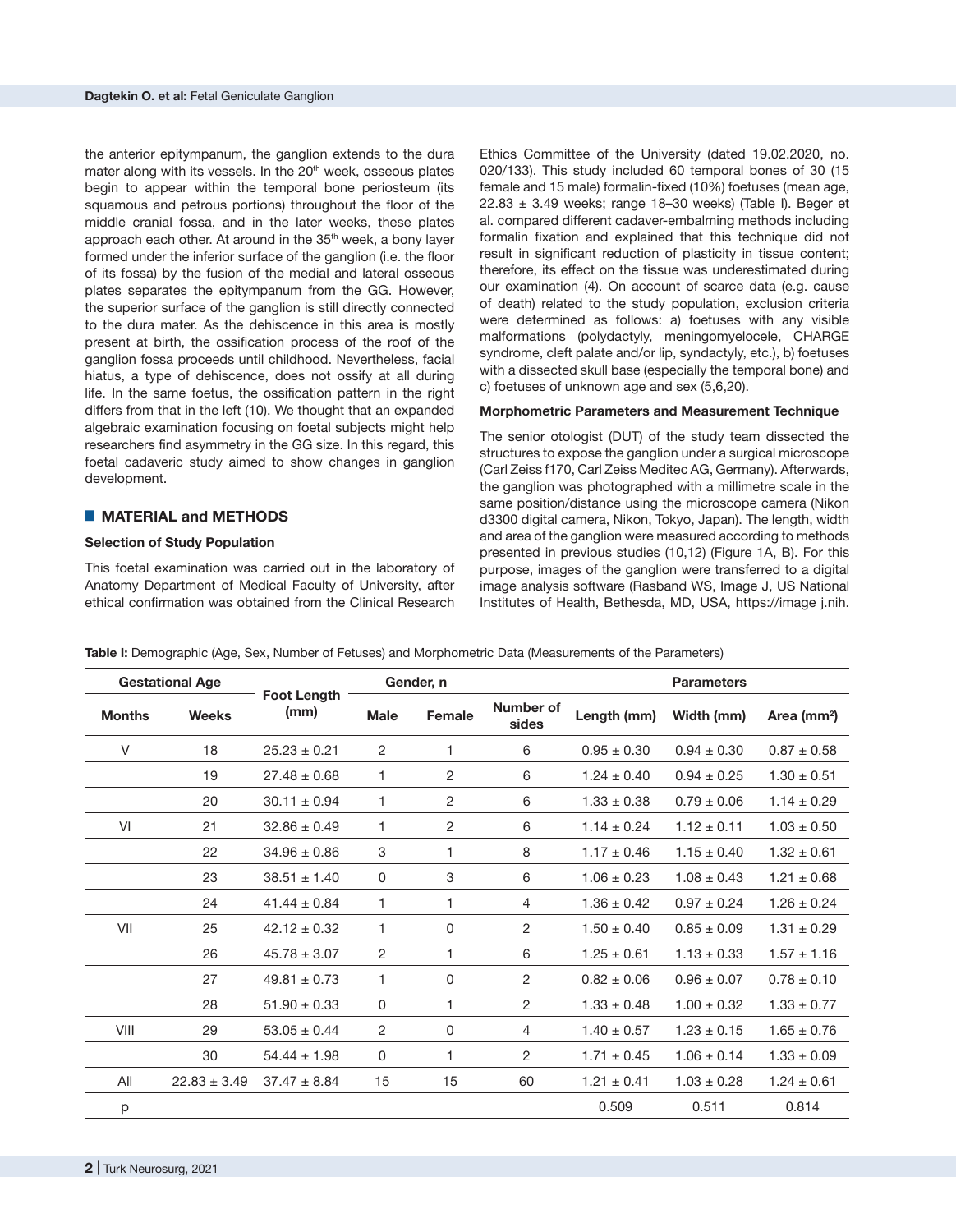the anterior epitympanum, the ganglion extends to the dura mater along with its vessels. In the 20<sup>th</sup> week, osseous plates begin to appear within the temporal bone periosteum (its squamous and petrous portions) throughout the floor of the middle cranial fossa, and in the later weeks, these plates approach each other. At around in the 35<sup>th</sup> week, a bony layer formed under the inferior surface of the ganglion (i.e. the floor of its fossa) by the fusion of the medial and lateral osseous plates separates the epitympanum from the GG. However, the superior surface of the ganglion is still directly connected to the dura mater. As the dehiscence in this area is mostly present at birth, the ossification process of the roof of the ganglion fossa proceeds until childhood. Nevertheless, facial hiatus, a type of dehiscence, does not ossify at all during life. In the same foetus, the ossification pattern in the right differs from that in the left (10). We thought that an expanded algebraic examination focusing on foetal subjects might help researchers find asymmetry in the GG size. In this regard, this foetal cadaveric study aimed to show changes in ganglion development.

## █ **MATERIAL and METHODS**

#### **Selection of Study Population**

This foetal examination was carried out in the laboratory of Anatomy Department of Medical Faculty of University, after ethical confirmation was obtained from the Clinical Research

Ethics Committee of the University (dated 19.02.2020, no. 020/133). This study included 60 temporal bones of 30 (15 female and 15 male) formalin-fixed (10%) foetuses (mean age,  $22.83 \pm 3.49$  weeks; range 18-30 weeks) (Table I). Beger et al. compared different cadaver-embalming methods including formalin fixation and explained that this technique did not result in significant reduction of plasticity in tissue content; therefore, its effect on the tissue was underestimated during our examination (4). On account of scarce data (e.g. cause of death) related to the study population, exclusion criteria were determined as follows: a) foetuses with any visible malformations (polydactyly, meningomyelocele, CHARGE syndrome, cleft palate and/or lip, syndactyly, etc.), b) foetuses with a dissected skull base (especially the temporal bone) and c) foetuses of unknown age and sex (5,6,20).

#### **Morphometric Parameters and Measurement Technique**

The senior otologist (DUT) of the study team dissected the structures to expose the ganglion under a surgical microscope (Carl Zeiss f170, Carl Zeiss Meditec AG, Germany). Afterwards, the ganglion was photographed with a millimetre scale in the same position/distance using the microscope camera (Nikon d3300 digital camera, Nikon, Tokyo, Japan). The length, width and area of the ganglion were measured according to methods presented in previous studies (10,12) (Figure 1A, B). For this purpose, images of the ganglion were transferred to a digital image analysis software (Rasband WS, Image J, US National Institutes of Health, Bethesda, MD, USA, https://image j.nih.

|  |  |  | Table I: Demographic (Age, Sex, Number of Fetuses) and Morphometric Data (Measurements of the Parameters) |
|--|--|--|-----------------------------------------------------------------------------------------------------------|
|--|--|--|-----------------------------------------------------------------------------------------------------------|

|               | <b>Gestational Age</b> |                            |                | Gender, n      |                    |                 | <b>Parameters</b> |                         |
|---------------|------------------------|----------------------------|----------------|----------------|--------------------|-----------------|-------------------|-------------------------|
| <b>Months</b> | <b>Weeks</b>           | <b>Foot Length</b><br>(mm) | <b>Male</b>    | Female         | Number of<br>sides | Length (mm)     | Width (mm)        | Area (mm <sup>2</sup> ) |
| $\vee$        | 18                     | $25.23 \pm 0.21$           | 2              | 1              | 6                  | $0.95 \pm 0.30$ | $0.94 \pm 0.30$   | $0.87 \pm 0.58$         |
|               | 19                     | $27.48 \pm 0.68$           | 1              | 2              | 6                  | $1.24 \pm 0.40$ | $0.94 \pm 0.25$   | $1.30 \pm 0.51$         |
|               | 20                     | $30.11 \pm 0.94$           | 1              | $\overline{2}$ | 6                  | $1.33 \pm 0.38$ | $0.79 \pm 0.06$   | $1.14 \pm 0.29$         |
| VI            | 21                     | $32.86 \pm 0.49$           | 1              | 2              | 6                  | $1.14 \pm 0.24$ | $1.12 \pm 0.11$   | $1.03 \pm 0.50$         |
|               | 22                     | $34.96 \pm 0.86$           | 3              | 1              | 8                  | $1.17 \pm 0.46$ | $1.15 \pm 0.40$   | $1.32 \pm 0.61$         |
|               | 23                     | $38.51 \pm 1.40$           | $\Omega$       | 3              | 6                  | $1.06 \pm 0.23$ | $1.08 \pm 0.43$   | $1.21 \pm 0.68$         |
|               | 24                     | $41.44 \pm 0.84$           | 1              | 1              | $\overline{4}$     | $1.36 \pm 0.42$ | $0.97 \pm 0.24$   | $1.26 \pm 0.24$         |
| VII           | 25                     | $42.12 \pm 0.32$           | 1              | 0              | 2                  | $1.50 \pm 0.40$ | $0.85 \pm 0.09$   | $1.31 \pm 0.29$         |
|               | 26                     | $45.78 \pm 3.07$           | $\overline{c}$ | 1              | 6                  | $1.25 \pm 0.61$ | $1.13 \pm 0.33$   | $1.57 \pm 1.16$         |
|               | 27                     | $49.81 \pm 0.73$           | 1              | 0              | 2                  | $0.82 \pm 0.06$ | $0.96 \pm 0.07$   | $0.78 \pm 0.10$         |
|               | 28                     | $51.90 \pm 0.33$           | 0              | 1              | 2                  | $1.33 \pm 0.48$ | $1.00 \pm 0.32$   | $1.33 \pm 0.77$         |
| VIII          | 29                     | $53.05 \pm 0.44$           | 2              | 0              | $\overline{4}$     | $1.40 \pm 0.57$ | $1.23 \pm 0.15$   | $1.65 \pm 0.76$         |
|               | 30                     | $54.44 \pm 1.98$           | 0              | 1              | $\overline{2}$     | $1.71 \pm 0.45$ | $1.06 \pm 0.14$   | $1.33 \pm 0.09$         |
| All           | $22.83 \pm 3.49$       | $37.47 \pm 8.84$           | 15             | 15             | 60                 | $1.21 \pm 0.41$ | $1.03 \pm 0.28$   | $1.24 \pm 0.61$         |
| p             |                        |                            |                |                |                    | 0.509           | 0.511             | 0.814                   |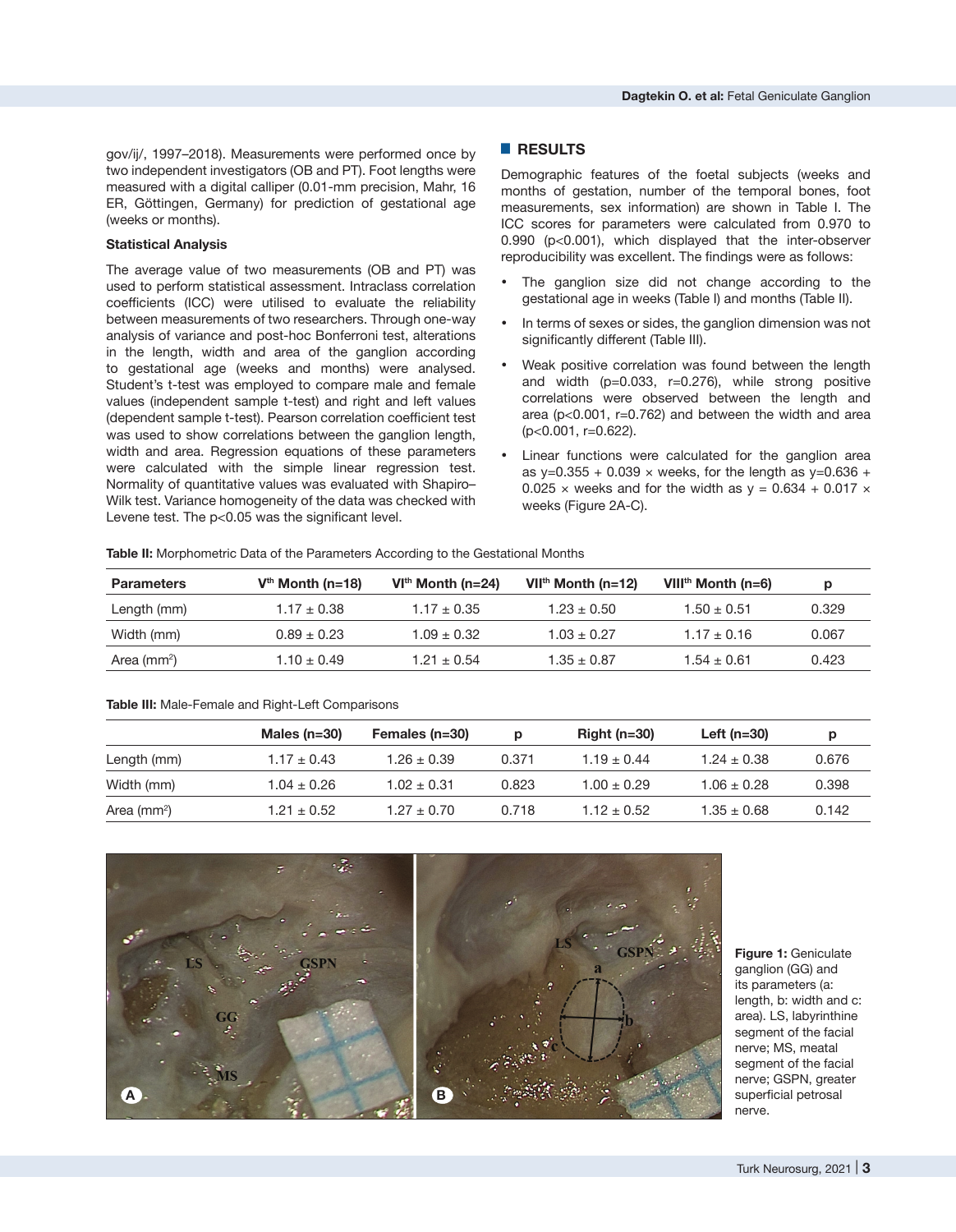gov/ij/, 1997–2018). Measurements were performed once by two independent investigators (OB and PT). Foot lengths were measured with a digital calliper (0.01-mm precision, Mahr, 16 ER, Göttingen, Germany) for prediction of gestational age (weeks or months).

### **Statistical Analysis**

The average value of two measurements (OB and PT) was used to perform statistical assessment. Intraclass correlation coefficients (ICC) were utilised to evaluate the reliability between measurements of two researchers. Through one-way analysis of variance and post-hoc Bonferroni test, alterations in the length, width and area of the ganglion according to gestational age (weeks and months) were analysed. Student's t-test was employed to compare male and female values (independent sample t-test) and right and left values (dependent sample t-test). Pearson correlation coefficient test was used to show correlations between the ganglion length, width and area. Regression equations of these parameters were calculated with the simple linear regression test. Normality of quantitative values was evaluated with Shapiro– Wilk test. Variance homogeneity of the data was checked with Levene test. The p<0.05 was the significant level.

### █ **RESULTS**

Demographic features of the foetal subjects (weeks and months of gestation, number of the temporal bones, foot measurements, sex information) are shown in Table I. The ICC scores for parameters were calculated from 0.970 to 0.990 (p<0.001), which displayed that the inter-observer reproducibility was excellent. The findings were as follows:

- The ganglion size did not change according to the gestational age in weeks (Table I) and months (Table II).
- In terms of sexes or sides, the ganglion dimension was not significantly different (Table III).
- Weak positive correlation was found between the length and width  $(p=0.033, r=0.276)$ , while strong positive correlations were observed between the length and area (p<0.001, r=0.762) and between the width and area (p<0.001, r=0.622).
- Linear functions were calculated for the ganglion area as y=0.355 + 0.039  $\times$  weeks, for the length as y=0.636 + 0.025  $\times$  weeks and for the width as  $v = 0.634 + 0.017 \times$ weeks (Figure 2A-C).

**Table II:** Morphometric Data of the Parameters According to the Gestational Months

| <b>Parameters</b> | $Vth$ Month (n=18) | $VIth$ Month (n=24) | $VIIth$ Month (n=12) | VIII <sup>th</sup> Month (n=6) | p     |
|-------------------|--------------------|---------------------|----------------------|--------------------------------|-------|
| Length (mm)       | $1.17 \pm 0.38$    | $1.17 + 0.35$       | $1.23 + 0.50$        | $1.50 \pm 0.51$                | 0.329 |
| Width (mm)        | $0.89 + 0.23$      | $1.09 + 0.32$       | $1.03 + 0.27$        | $1.17 + 0.16$                  | 0.067 |
| Area ( $mm2$ )    | $1.10 \pm 0.49$    | $1.21 + 0.54$       | $1.35 + 0.87$        | $1.54 + 0.61$                  | 0.423 |

#### **Table III:** Male-Female and Right-Left Comparisons

|                | Males $(n=30)$  | Females (n=30)  | D     | Right $(n=30)$ | Left $(n=30)$   |       |
|----------------|-----------------|-----------------|-------|----------------|-----------------|-------|
| Length (mm)    | $1.17 \pm 0.43$ | $1.26 \pm 0.39$ | 0.371 | $1.19 + 0.44$  | $1.24 + 0.38$   | 0.676 |
| Width (mm)     | $1.04\pm0.26$   | $1.02 \pm 0.31$ | 0.823 | $1.00 + 0.29$  | $1.06 \pm 0.28$ | 0.398 |
| Area ( $mm2$ ) | $1.21 \pm 0.52$ | $1.27 \pm 0.70$ | 0.718 | $1.12 + 0.52$  | $1.35\pm0.68$   | 0.142 |



**Figure 1:** Geniculate ganglion (GG) and its parameters (a: length, b: width and c: area). LS, labyrinthine segment of the facial nerve; MS, meatal segment of the facial nerve; GSPN, greater superficial petrosal nerve.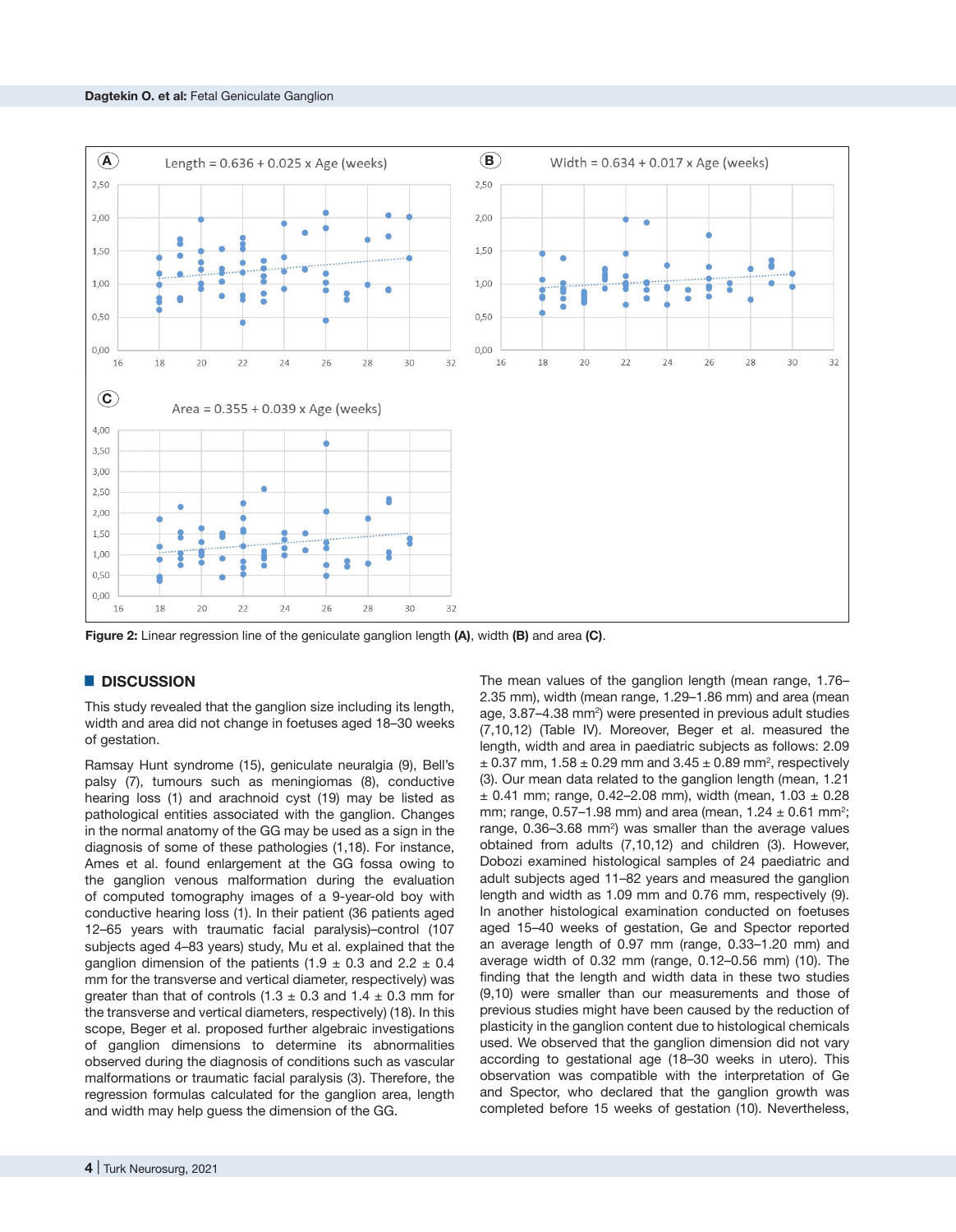

**Figure 2:** Linear regression line of the geniculate ganglion length **(A)**, width **(B)** and area **(C)**.

#### █ **DISCUSSION**

This study revealed that the ganglion size including its length, width and area did not change in foetuses aged 18–30 weeks of gestation.

Ramsay Hunt syndrome (15), geniculate neuralgia (9), Bell's palsy (7), tumours such as meningiomas (8), conductive hearing loss (1) and arachnoid cyst (19) may be listed as pathological entities associated with the ganglion. Changes in the normal anatomy of the GG may be used as a sign in the diagnosis of some of these pathologies (1,18). For instance, Ames et al. found enlargement at the GG fossa owing to the ganglion venous malformation during the evaluation of computed tomography images of a 9-year-old boy with conductive hearing loss (1). In their patient (36 patients aged 12–65 years with traumatic facial paralysis)–control (107 subjects aged 4–83 years) study, Mu et al. explained that the ganglion dimension of the patients (1.9  $\pm$  0.3 and 2.2  $\pm$  0.4 mm for the transverse and vertical diameter, respectively) was greater than that of controls  $(1.3 \pm 0.3 \text{ and } 1.4 \pm 0.3 \text{ mm}$  for the transverse and vertical diameters, respectively) (18). In this scope, Beger et al. proposed further algebraic investigations of ganglion dimensions to determine its abnormalities observed during the diagnosis of conditions such as vascular malformations or traumatic facial paralysis (3). Therefore, the regression formulas calculated for the ganglion area, length and width may help guess the dimension of the GG.

2.35 mm), width (mean range, 1.29–1.86 mm) and area (mean age, 3.87–4.38 mm<sup>2</sup>) were presented in previous adult studies (7,10,12) (Table IV). Moreover, Beger et al. measured the length, width and area in paediatric subjects as follows: 2.09  $\pm$  0.37 mm, 1.58  $\pm$  0.29 mm and 3.45  $\pm$  0.89 mm<sup>2</sup>, respectively (3). Our mean data related to the ganglion length (mean, 1.21  $\pm$  0.41 mm; range, 0.42-2.08 mm), width (mean, 1.03  $\pm$  0.28 mm; range,  $0.57-1.98$  mm) and area (mean,  $1.24 \pm 0.61$  mm<sup>2</sup>; range,  $0.36-3.68$  mm<sup>2</sup>) was smaller than the average values obtained from adults (7,10,12) and children (3). However, Dobozi examined histological samples of 24 paediatric and adult subjects aged 11–82 years and measured the ganglion length and width as 1.09 mm and 0.76 mm, respectively (9). In another histological examination conducted on foetuses aged 15–40 weeks of gestation, Ge and Spector reported an average length of 0.97 mm (range, 0.33–1.20 mm) and average width of 0.32 mm (range, 0.12–0.56 mm) (10). The finding that the length and width data in these two studies (9,10) were smaller than our measurements and those of previous studies might have been caused by the reduction of plasticity in the ganglion content due to histological chemicals used. We observed that the ganglion dimension did not vary according to gestational age (18–30 weeks in utero). This observation was compatible with the interpretation of Ge and Spector, who declared that the ganglion growth was completed before 15 weeks of gestation (10). Nevertheless,

The mean values of the ganglion length (mean range, 1.76–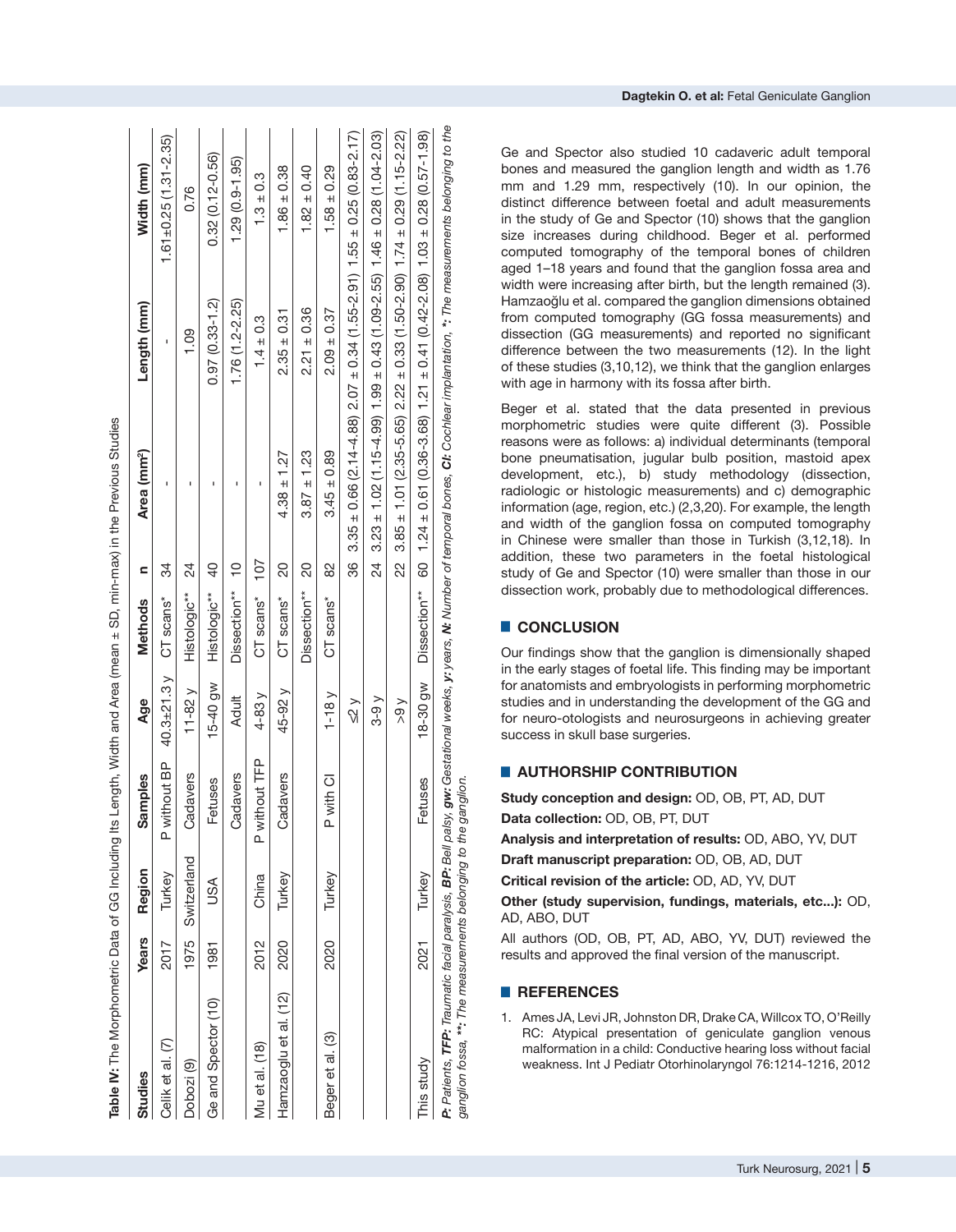| Studies                                                         | Years | Region      | ples<br>Samp  | Age               | <b>Methods</b> | Ξ              | Area (mm <sup>2</sup> )                                                                | Length (mm)        | Width (mm)                                                                                                                                                                                  |
|-----------------------------------------------------------------|-------|-------------|---------------|-------------------|----------------|----------------|----------------------------------------------------------------------------------------|--------------------|---------------------------------------------------------------------------------------------------------------------------------------------------------------------------------------------|
| Celik et al. (7)                                                | 2017  | Turkey      | P without BP  | 40.3 $\pm$ 21.3 y | CT scans*      | 34             | ı                                                                                      | ı                  | $1.61 \pm 0.25$ (1.31-2.35)                                                                                                                                                                 |
| Dobozi <sup>(9)</sup>                                           | 1975  | Switzerland | Cadavers      | $11 - 82$ $V$     | Histologic**   | 24             |                                                                                        | 0.109              | 0.76                                                                                                                                                                                        |
| Ge and Spector (10)                                             | 1981  | USA         | Fetuses       | 15-40 gw          | Histologic**   | $\overline{a}$ | Ï                                                                                      | $0.97(0.33 - 1.2)$ | $0.32(0.12 - 0.56)$                                                                                                                                                                         |
|                                                                 |       |             | Cadavers      | <b>Adult</b>      | Dissection**   | $\frac{1}{2}$  |                                                                                        | $1.76(1.2 - 2.25)$ | $1.29(0.9 - 1.95)$                                                                                                                                                                          |
| Mu et al. (18)                                                  | 2012  | China       | P without TFP | $4-83y$           | CT scans*      | 107            |                                                                                        | $1.4 \pm 0.3$      | $1.3 \pm 0.3$                                                                                                                                                                               |
| Hamzaoglu et al. (12)                                           | 2020  | Turkey      | Cadavers      | 45-92 y           | CT scans*      | 20             | $4.38 \pm 1.27$                                                                        | $2.35 \pm 0.31$    | $1.86 \pm 0.38$                                                                                                                                                                             |
|                                                                 |       |             |               |                   | Dissection**   | 8              | $3.87 \pm 1.23$                                                                        | $2.21 \pm 0.36$    | $1.82 \pm 0.40$                                                                                                                                                                             |
| Beger et al. (3)                                                | 2020  | Turkey      | P with CI     | $1-18$ $V$        | CT scans*      | 8              | $3.45 \pm 0.89$                                                                        | $2.09 \pm 0.37$    | $1.58 \pm 0.29$                                                                                                                                                                             |
|                                                                 |       |             |               | $\leq$ 2 $\vee$   |                | 86             |                                                                                        |                    | $3.35 \pm 0.66$ (2.14-4.88) $2.07 \pm 0.34$ (1.55-2.91) $1.55 \pm 0.25$ (0.83-2.17)                                                                                                         |
|                                                                 |       |             |               | $3-9y$            |                | 24             |                                                                                        |                    | $3.23 \pm 1.02$ (1.15-4.99) 1.99 $\pm$ 0.43 (1.09-2.55) 1.46 $\pm$ 0.28 (1.04-2.03)                                                                                                         |
|                                                                 |       |             |               | > 9               |                | 22             |                                                                                        |                    | $3.85 \pm 1.01$ (2.35-5.65) $2.22 \pm 0.33$ (1.50-2.90) $1.74 \pm 0.29$ (1.15-2.22)                                                                                                         |
| This study                                                      | 2021  | Turkey      | Fetuses       | 18-30 gw          | Dissection**   |                | 60 1.24 $\pm$ 0.61 (0.36-3.68) 1.21 $\pm$ 0.41 (0.42-2.08) 1.03 $\pm$ 0.28 (0.57-1.98) |                    |                                                                                                                                                                                             |
| ganglion fossa, **: The measurements belonging to the ganglion. |       |             |               |                   |                |                |                                                                                        |                    | P: Patients, TFP: Traumatic facial paralysis, BP: Bell palsy, gw: Gestational weeks, y: years, N: Number of temporal bones, CI: Cochlear implantation, *: The measurements belonging to the |

**Dagtekin O. et al :** Fetal Geniculate Ganglion

Ge and Spector also studied 10 cadaveric adult temporal bones and measured the ganglion length and width as 1.76 mm and 1.29 mm, respectively (10). In our opinion, the distinct difference between foetal and adult measurements in the study of Ge and Spector (10) shows that the ganglion size increases during childhood. Beger et al. performed computed tomography of the temporal bones of children aged 1–18 years and found that the ganglion fossa area and width were increasing after birth, but the length remained (3). Hamzaoğlu et al. compared the ganglion dimensions obtained from computed tomography (GG fossa measurements) and dissection (GG measurements) and reported no significant difference between the two measurements (12). In the light of these studies (3,10,12), we think that the ganglion enlarges with age in harmony with its fossa after birth.

Beger et al. stated that the data presented in previous morphometric studies were quite different (3). Possible reasons were as follows: a) individual determinants (temporal bone pneumatisation, jugular bulb position, mastoid apex development, etc.), b) study methodology (dissection, radiologic or histologic measurements) and c) demographic information (age, region, etc.) (2,3,20). For example, the length and width of the ganglion fossa on computed tomography in Chinese were smaller than those in Turkish (3,12,18). In addition, these two parameters in the foetal histological study of Ge and Spector (10) were smaller than those in our dissection work, probably due to methodological differences.

# █ **CONCLUSION**

Our findings show that the ganglion is dimensionally shaped in the early stages of foetal life. This finding may be important for anatomists and embryologists in performing morphometric studies and in understanding the development of the GG and for neuro-otologists and neurosurgeons in achieving greater success in skull base surgeries.

# **E** AUTHORSHIP CONTRIBUTION

**Study conception and design:** OD, OB, PT, AD, DUT **Data collection:** OD, OB, PT, DUT

**Analysis and interpretation of results:** OD, ABO, YV, DUT

**Draft manuscript preparation:** OD, OB, AD, DUT

**Critical revision of the article:** OD, AD, YV, DUT

**Other (study supervision, fundings, materials, etc...):** OD, AD, ABO, DUT

All authors (OD, OB, PT, AD, ABO, YV, DUT) reviewed the results and approved the final version of the manuscript.

## █ **REFERENCES**

1. Ames JA, Levi JR, Johnston DR, Drake CA, Willcox TO, O'Reilly RC: Atypical presentation of geniculate ganglion venous malformation in a child: Conductive hearing loss without facial weakness. Int J Pediatr Otorhinolaryngol 76:1214-1216, 2012